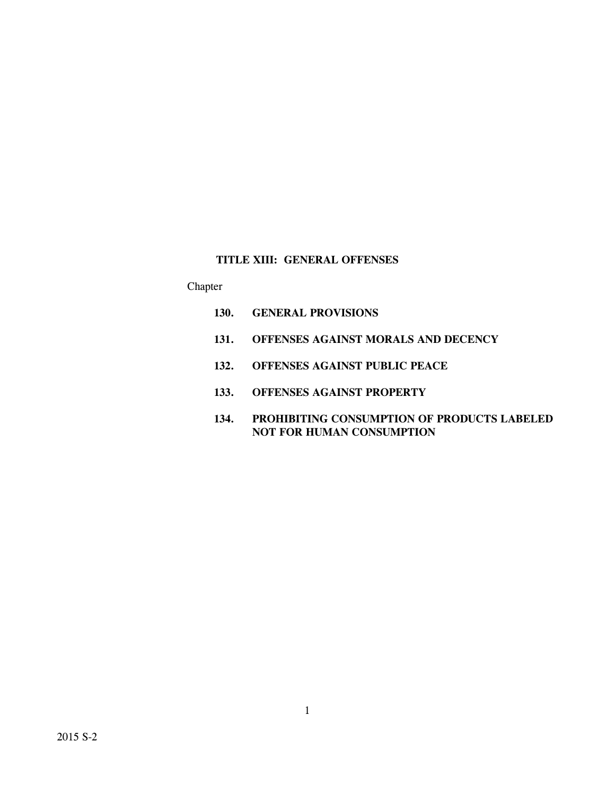# **TITLE XIII: GENERAL OFFENSES**

# Chapter

- **130. GENERAL PROVISIONS**
- **131. OFFENSES AGAINST MORALS AND DECENCY**
- **132. OFFENSES AGAINST PUBLIC PEACE**
- **133. OFFENSES AGAINST PROPERTY**
- **134. PROHIBITING CONSUMPTION OF PRODUCTS LABELED NOT FOR HUMAN CONSUMPTION**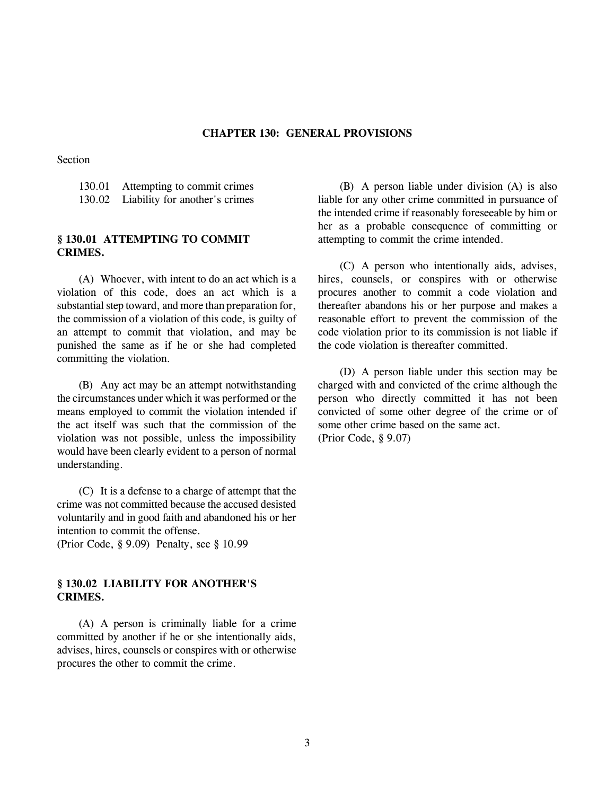### **CHAPTER 130: GENERAL PROVISIONS**

Section

130.01 Attempting to commit crimes 130.02 Liability for another's crimes

## **§ 130.01 ATTEMPTING TO COMMIT CRIMES.**

(A) Whoever, with intent to do an act which is a violation of this code, does an act which is a substantial step toward, and more than preparation for, the commission of a violation of this code, is guilty of an attempt to commit that violation, and may be punished the same as if he or she had completed committing the violation.

(B) Any act may be an attempt notwithstanding the circumstances under which it was performed or the means employed to commit the violation intended if the act itself was such that the commission of the violation was not possible, unless the impossibility would have been clearly evident to a person of normal understanding.

(C) It is a defense to a charge of attempt that the crime was not committed because the accused desisted voluntarily and in good faith and abandoned his or her intention to commit the offense.

(Prior Code, § 9.09) Penalty, see § 10.99

## **§ 130.02 LIABILITY FOR ANOTHER'S CRIMES.**

(A) A person is criminally liable for a crime committed by another if he or she intentionally aids, advises, hires, counsels or conspires with or otherwise procures the other to commit the crime.

(B) A person liable under division (A) is also liable for any other crime committed in pursuance of the intended crime if reasonably foreseeable by him or her as a probable consequence of committing or attempting to commit the crime intended.

(C) A person who intentionally aids, advises, hires, counsels, or conspires with or otherwise procures another to commit a code violation and thereafter abandons his or her purpose and makes a reasonable effort to prevent the commission of the code violation prior to its commission is not liable if the code violation is thereafter committed.

(D) A person liable under this section may be charged with and convicted of the crime although the person who directly committed it has not been convicted of some other degree of the crime or of some other crime based on the same act. (Prior Code, § 9.07)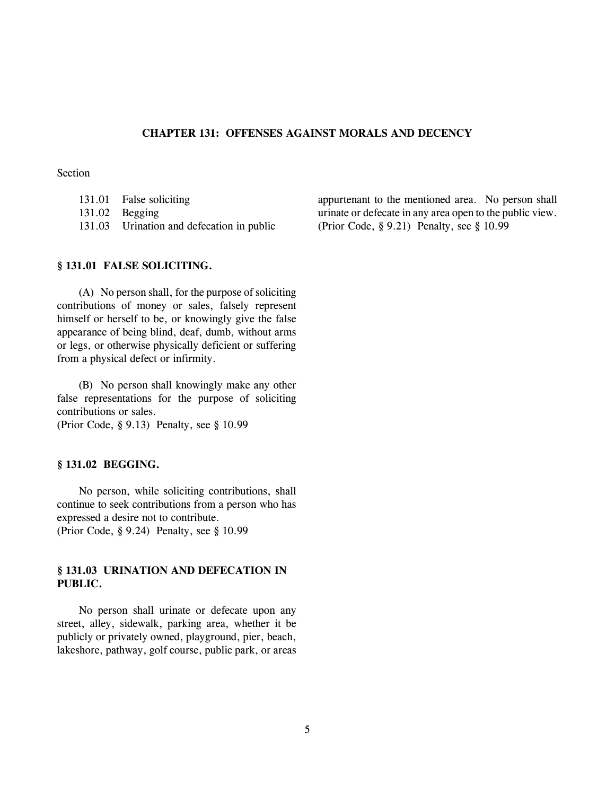## **CHAPTER 131: OFFENSES AGAINST MORALS AND DECENCY**

## Section

| 131.01 False soliciting                   |
|-------------------------------------------|
| $131.02$ Begging                          |
| 131.03 Urination and defecation in public |

appurtenant to the mentioned area. No person shall urinate or defecate in any area open to the public view. (Prior Code, § 9.21) Penalty, see § 10.99

## **§ 131.01 FALSE SOLICITING.**

(A) No person shall, for the purpose of soliciting contributions of money or sales, falsely represent himself or herself to be, or knowingly give the false appearance of being blind, deaf, dumb, without arms or legs, or otherwise physically deficient or suffering from a physical defect or infirmity.

(B) No person shall knowingly make any other false representations for the purpose of soliciting contributions or sales. (Prior Code, § 9.13) Penalty, see § 10.99

## **§ 131.02 BEGGING.**

No person, while soliciting contributions, shall continue to seek contributions from a person who has expressed a desire not to contribute. (Prior Code, § 9.24) Penalty, see § 10.99

## **§ 131.03 URINATION AND DEFECATION IN PUBLIC.**

No person shall urinate or defecate upon any street, alley, sidewalk, parking area, whether it be publicly or privately owned, playground, pier, beach, lakeshore, pathway, golf course, public park, or areas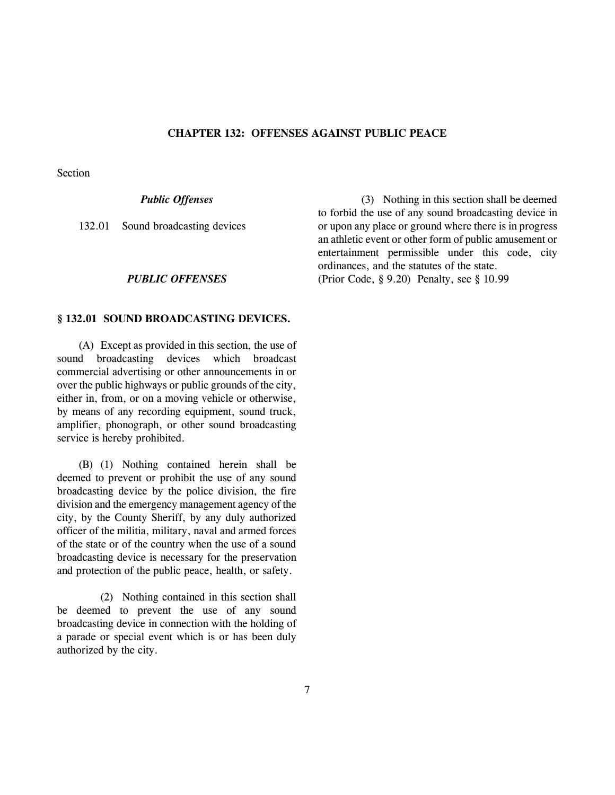### **CHAPTER 132: OFFENSES AGAINST PUBLIC PEACE**

Section

## *Public Offenses*

132.01 Sound broadcasting devices

#### *PUBLIC OFFENSES*

#### **§ 132.01 SOUND BROADCASTING DEVICES.**

(A) Except as provided in this section, the use of sound broadcasting devices which broadcast commercial advertising or other announcements in or over the public highways or public grounds of the city, either in, from, or on a moving vehicle or otherwise, by means of any recording equipment, sound truck, amplifier, phonograph, or other sound broadcasting service is hereby prohibited.

(B) (1) Nothing contained herein shall be deemed to prevent or prohibit the use of any sound broadcasting device by the police division, the fire division and the emergency management agency of the city, by the County Sheriff, by any duly authorized officer of the militia, military, naval and armed forces of the state or of the country when the use of a sound broadcasting device is necessary for the preservation and protection of the public peace, health, or safety.

(2) Nothing contained in this section shall be deemed to prevent the use of any sound broadcasting device in connection with the holding of a parade or special event which is or has been duly authorized by the city.

(3) Nothing in this section shall be deemed to forbid the use of any sound broadcasting device in or upon any place or ground where there is in progress an athletic event or other form of public amusement or entertainment permissible under this code, city ordinances, and the statutes of the state. (Prior Code, § 9.20) Penalty, see § 10.99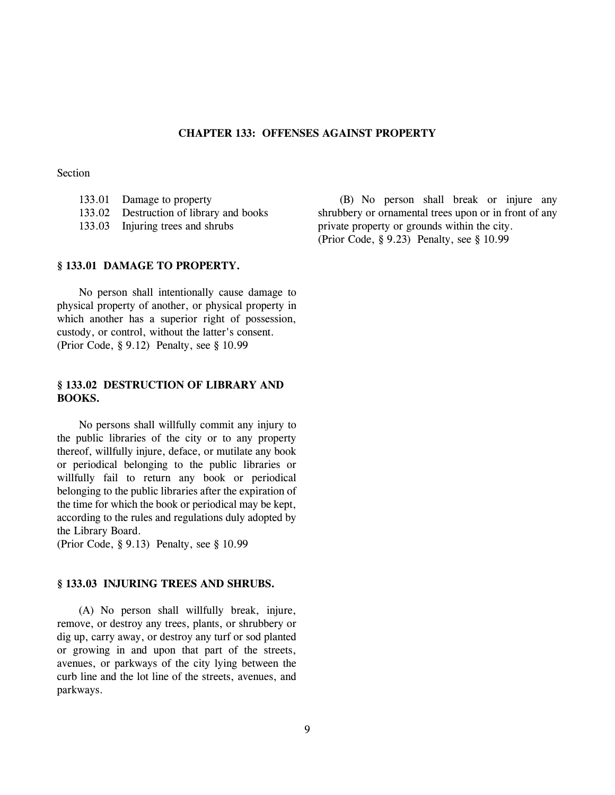### **CHAPTER 133: OFFENSES AGAINST PROPERTY**

### Section

- 133.01 Damage to property 133.02 Destruction of library and books
- 133.03 Injuring trees and shrubs
	-

## **§ 133.01 DAMAGE TO PROPERTY.**

No person shall intentionally cause damage to physical property of another, or physical property in which another has a superior right of possession, custody, or control, without the latter's consent. (Prior Code, § 9.12) Penalty, see § 10.99

## **§ 133.02 DESTRUCTION OF LIBRARY AND BOOKS.**

No persons shall willfully commit any injury to the public libraries of the city or to any property thereof, willfully injure, deface, or mutilate any book or periodical belonging to the public libraries or willfully fail to return any book or periodical belonging to the public libraries after the expiration of the time for which the book or periodical may be kept, according to the rules and regulations duly adopted by the Library Board.

(Prior Code, § 9.13) Penalty, see § 10.99

#### **§ 133.03 INJURING TREES AND SHRUBS.**

(A) No person shall willfully break, injure, remove, or destroy any trees, plants, or shrubbery or dig up, carry away, or destroy any turf or sod planted or growing in and upon that part of the streets, avenues, or parkways of the city lying between the curb line and the lot line of the streets, avenues, and parkways.

(B) No person shall break or injure any shrubbery or ornamental trees upon or in front of any private property or grounds within the city. (Prior Code, § 9.23) Penalty, see § 10.99